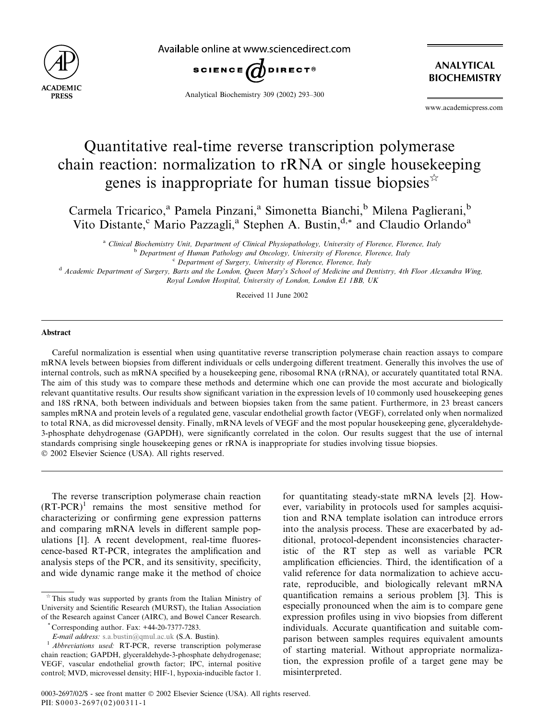

Available online at www.sciencedirect.com



Analytical Biochemistry 309 (2002) 293–300

ANALYTICAL BIOCHEMISTRY

www.academicpress.com

# Quantitative real-time reverse transcription polymerase chain reaction: normalization to rRNA or single housekeeping genes is inappropriate for human tissue biopsies  $\hat{z}$

Carmela Tricarico,<sup>a</sup> Pamela Pinzani,<sup>a</sup> Simonetta Bianchi,<sup>b</sup> Milena Paglierani,<sup>b</sup> Vito Distante,<sup>c</sup> Mario Pazzagli,<sup>a</sup> Stephen A. Bustin,<sup>d,\*</sup> and Claudio Orlando<sup>a</sup>

a Clinical Biochemistry Unit, Department of Clinical Physiopathology, University of Florence, Florence, Italy <sup>b</sup> Department of Human Pathology and Oncology, University of Florence, Florence, Italy

 $c$  Department of Surgery, University of Florence, Florence, Italy

<sup>d</sup> Academic Department of Surgery, Barts and the London, Queen Mary's School of Medicine and Dentistry, 4th Floor Alexandra Wing, Royal London Hospital, University of London, London E1 1BB, UK

Received 11 June 2002

# Abstract

Careful normalization is essential when using quantitative reverse transcription polymerase chain reaction assays to compare mRNA levels between biopsies from different individuals or cells undergoing different treatment. Generally this involves the use of internal controls, such as mRNA specified by a housekeeping gene, ribosomal RNA (rRNA), or accurately quantitated total RNA. The aim of this study was to compare these methods and determine which one can provide the most accurate and biologically relevant quantitative results. Our results show significant variation in the expression levels of 10 commonly used housekeeping genes and 18SrRNA, both between individuals and between biopsies taken from the same patient. Furthermore, in 23 breast cancers samples mRNA and protein levels of a regulated gene, vascular endothelial growth factor (VEGF), correlated only when normalized to total RNA, as did microvessel density. Finally, mRNA levels of VEGF and the most popular housekeeping gene, glyceraldehyde-3-phosphate dehydrogenase (GAPDH), were significantly correlated in the colon. Our results suggest that the use of internal standards comprising single housekeeping genes or rRNA is inappropriate for studies involving tissue biopsies. 2002 Elsevier Science (USA). All rights reserved.

The reverse transcription polymerase chain reaction  $(RT-PCR)^1$  remains the most sensitive method for characterizing or confirming gene expression patterns and comparing mRNA levels in different sample populations [1]. A recent development, real-time fluorescence-based RT-PCR, integrates the amplification and analysis steps of the PCR, and its sensitivity, specificity, and wide dynamic range make it the method of choice

for quantitating steady-state mRNA levels [2]. However, variability in protocols used for samples acquisition and RNA template isolation can introduce errors into the analysis process. These are exacerbated by additional, protocol-dependent inconsistencies characteristic of the RT step as well as variable PCR amplification efficiencies. Third, the identification of a valid reference for data normalization to achieve accurate, reproducible, and biologically relevant mRNA quantification remains a serious problem [3]. This is especially pronounced when the aim is to compare gene expression profiles using in vivo biopsies from different individuals. Accurate quantification and suitable comparison between samples requires equivalent amounts of starting material. Without appropriate normalization, the expression profile of a target gene may be misinterpreted.

 $*$  This study was supported by grants from the Italian Ministry of University and Scientific Research (MURST), the Italian Association of the Research against Cancer (AIRC), and Bowel Cancer Research.

<sup>\*</sup> Corresponding author. Fax: +44-20-7377-7283.

E-mail address: [s.a.bustin@qmul.ac.uk](mail to: s.a.bustin@qmul.ac.uk) (S.A. Bustin).

<sup>&</sup>lt;sup>1</sup> Abbreviations used: RT-PCR, reverse transcription polymerase chain reaction; GAPDH, glyceraldehyde-3-phosphate dehydrogenase; VEGF, vascular endothelial growth factor; IPC, internal positive control; MVD, microvessel density; HIF-1, hypoxia-inducible factor 1.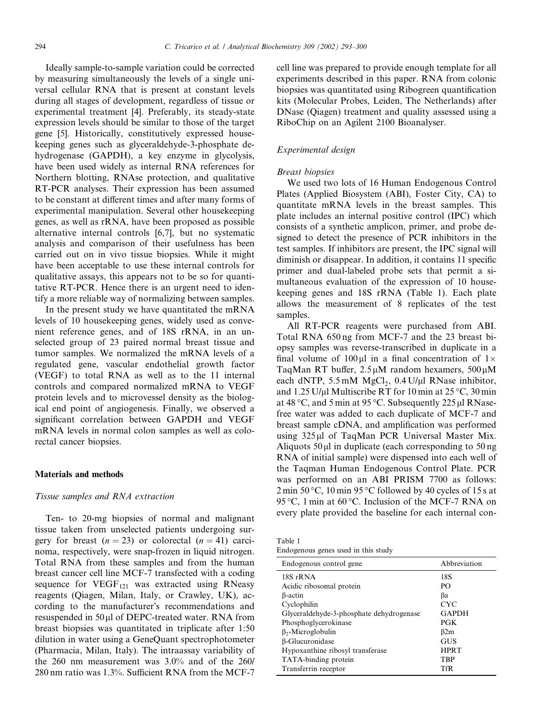Ideally sample-to-sample variation could be corrected by measuring simultaneously the levels of a single universal cellular RNA that is present at constant levels during all stages of development, regardless of tissue or experimental treatment [4]. Preferably, its steady-state expression levels should be similar to those of the target gene [5]. Historically, constitutively expressed housekeeping genes such as glyceraldehyde-3-phosphate dehydrogenase (GAPDH), a key enzyme in glycolysis, have been used widely as internal RNA references for Northern blotting, RNAse protection, and qualitative RT-PCR analyses. Their expression has been assumed to be constant at different times and after many forms of experimental manipulation. Several other housekeeping genes, as well as rRNA, have been proposed as possible alternative internal controls [6,7], but no systematic analysis and comparison of their usefulness has been carried out on in vivo tissue biopsies. While it might have been acceptable to use these internal controls for qualitative assays, this appears not to be so for quantitative RT-PCR. Hence there is an urgent need to identify a more reliable way of normalizing between samples.

In the present study we have quantitated the mRNA levels of 10 housekeeping genes, widely used as convenient reference genes, and of 18S rRNA, in an unselected group of 23 paired normal breast tissue and tumor samples. We normalized the mRNA levels of a regulated gene, vascular endothelial growth factor (VEGF) to total RNA as well as to the 11 internal controls and compared normalized mRNA to VEGF protein levels and to microvessel density as the biological end point of angiogenesis. Finally, we observed a significant correlation between GAPDH and VEGF mRNA levels in normal colon samples as well as colorectal cancer biopsies.

## Materials and methods

## Tissue samples and RNA extraction

Ten- to 20-mg biopsies of normal and malignant tissue taken from unselected patients undergoing surgery for breast  $(n = 23)$  or colorectal  $(n = 41)$  carcinoma, respectively, were snap-frozen in liquid nitrogen. Total RNA from these samples and from the human breast cancer cell line MCF-7 transfected with a coding sequence for  $VEGF_{121}$  was extracted using RNeasy reagents (Qiagen, Milan, Italy, or Crawley, UK), according to the manufacturer's recommendations and resuspended in  $50 \mu l$  of DEPC-treated water. RNA from breast biopsies was quantitated in triplicate after 1:50 dilution in water using a GeneQuant spectrophotometer (Pharmacia, Milan, Italy). The intraassay variability of the 260 nm measurement was 3.0% and of the 260/ 280 nm ratio was 1.3%. Sufficient RNA from the MCF-7

cell line was prepared to provide enough template for all experiments described in this paper. RNA from colonic biopsies was quantitated using Ribogreen quantification kits (Molecular Probes, Leiden, The Netherlands) after DNase (Qiagen) treatment and quality assessed using a RiboChip on an Agilent 2100 Bioanalyser.

## Experimental design

### Breast biopsies

We used two lots of 16 Human Endogenous Control Plates (Applied Biosystem (ABI), Foster City, CA) to quantitate mRNA levels in the breast samples. This plate includes an internal positive control (IPC) which consists of a synthetic amplicon, primer, and probe designed to detect the presence of PCR inhibitors in the test samples. If inhibitors are present, the IPC signal will diminish or disappear. In addition, it contains 11 specific primer and dual-labeled probe sets that permit a simultaneous evaluation of the expression of 10 housekeeping genes and 18S rRNA (Table 1). Each plate allows the measurement of 8 replicates of the test samples.

All RT-PCR reagents were purchased from ABI. Total RNA 650 ng from MCF-7 and the 23 breast biopsy samples was reverse-transcribed in duplicate in a final volume of 100  $\mu$ l in a final concentration of 1 $\times$ TaqMan RT buffer,  $2.5 \mu M$  random hexamers,  $500 \mu M$ each dNTP,  $5.5 \text{ mM } MgCl_2$ ,  $0.4 \text{ U/}\mu$ l RNase inhibitor, and 1.25 U/µl Multiscribe RT for 10 min at 25 °C, 30 min at 48 °C, and 5 min at 95 °C. Subsequently 225  $\mu$ l RNasefree water was added to each duplicate of MCF-7 and breast sample cDNA, and amplification was performed using  $325 \mu l$  of TaqMan PCR Universal Master Mix. Aliquots  $50 \mu$ l in duplicate (each corresponding to  $50 \text{ ng}$ ) RNA of initial sample) were dispensed into each well of the Taqman Human Endogenous Control Plate. PCR was performed on an ABI PRISM 7700 as follows:  $2 \text{ min } 50 \degree \text{C}$ ,  $10 \text{ min } 95 \degree \text{C}$  followed by 40 cycles of 15 s at 95 °C, 1 min at 60 °C. Inclusion of the MCF-7 RNA on every plate provided the baseline for each internal con-

Table 1 Endogenous genes used in this study

| Endogenous control gene                  | Abbreviation   |  |
|------------------------------------------|----------------|--|
| 18S rRNA                                 | 18S            |  |
| Acidic ribosomal protein                 | P <sub>O</sub> |  |
| $\beta$ -actin                           | Bа             |  |
| Cyclophilin                              | <b>CYC</b>     |  |
| Glyceraldehyde-3-phosphate dehydrogenase | <b>GAPDH</b>   |  |
| Phosphoglycerokinase                     | <b>PGK</b>     |  |
| $\beta_2$ -Microglobulin                 | B2m            |  |
| <b>B-Glucuronidase</b>                   | GUS            |  |
| Hypoxanthine ribosyl transferase         | <b>HPRT</b>    |  |
| TATA-binding protein                     | <b>TRP</b>     |  |
| Transferrin receptor                     | <b>TfR</b>     |  |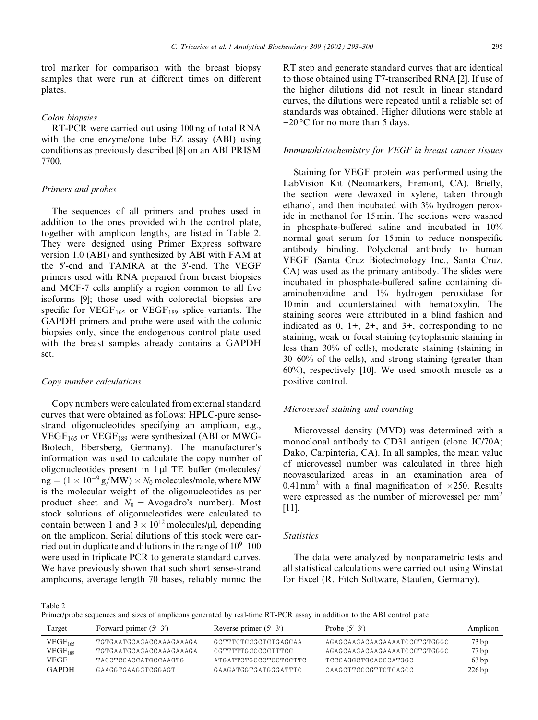trol marker for comparison with the breast biopsy samples that were run at different times on different plates.

### Colon biopsies

RT-PCR were carried out using 100 ng of total RNA with the one enzyme/one tube EZ assay (ABI) using conditions as previously described [8] on an ABI PRISM 7700.

# Primers and probes

The sequences of all primers and probes used in addition to the ones provided with the control plate, together with amplicon lengths, are listed in Table 2. They were designed using Primer Express software version 1.0 (ABI) and synthesized by ABI with FAM at the 5'-end and TAMRA at the 3'-end. The VEGF primers used with RNA prepared from breast biopsies and MCF-7 cells amplify a region common to all five isoforms [9]; those used with colorectal biopsies are specific for  $VEGF<sub>165</sub>$  or  $VEGF<sub>189</sub>$  splice variants. The GAPDH primers and probe were used with the colonic biopsies only, since the endogenous control plate used with the breast samples already contains a GAPDH set.

## Copy number calculations

Copy numbers were calculated from external standard curves that were obtained as follows: HPLC-pure sensestrand oligonucleotides specifying an amplicon, e.g., VEGF<sub>165</sub> or VEGF<sub>189</sub> were synthesized (ABI or MWG-Biotech, Ebersberg, Germany). The manufacturer's information was used to calculate the copy number of oligonucleotides present in  $1 \mu$ I TE buffer (molecules/  $\mathrm{ng} = (1\times 10^{-9}\,\mathrm{g}/\mathrm{MW})\times N_0$  molecules/mole, where  $\mathrm{MW}$ is the molecular weight of the oligonucleotides as per product sheet and  $N_0 = Avogadro's number$ . Most stock solutions of oligonucleotides were calculated to contain between 1 and  $3 \times 10^{12}$  molecules/µl, depending on the amplicon. Serial dilutions of this stock were carried out in duplicate and dilutions in the range of  $10^9-100$ were used in triplicate PCR to generate standard curves. We have previously shown that such short sense-strand amplicons, average length 70 bases, reliably mimic the RT step and generate standard curves that are identical to those obtained using T7-transcribed RNA [2]. If use of the higher dilutions did not result in linear standard curves, the dilutions were repeated until a reliable set of standards was obtained. Higher dilutions were stable at  $-20$  °C for no more than 5 days.

#### Immunohistochemistry for VEGF in breast cancer tissues

Staining for VEGF protein was performed using the LabVision Kit (Neomarkers, Fremont, CA). Briefly, the section were dewaxed in xylene, taken through ethanol, and then incubated with 3% hydrogen peroxide in methanol for 15 min. The sections were washed in phosphate-buffered saline and incubated in 10% normal goat serum for 15 min to reduce nonspecific antibody binding. Polyclonal antibody to human VEGF (Santa Cruz Biotechnology Inc., Santa Cruz, CA) was used as the primary antibody. The slides were incubated in phosphate-buffered saline containing diaminobenzidine and 1% hydrogen peroxidase for 10 min and counterstained with hematoxylin. The staining scores were attributed in a blind fashion and indicated as 0, 1+, 2+, and 3+, corresponding to no staining, weak or focal staining (cytoplasmic staining in less than 30% of cells), moderate staining (staining in 30–60% of the cells), and strong staining (greater than 60%), respectively [10]. We used smooth muscle as a positive control.

## Microvessel staining and counting

Microvessel density (MVD) was determined with a monoclonal antibody to CD31 antigen (clone JC/70A; Dako, Carpinteria, CA). In all samples, the mean value of microvessel number was calculated in three high neovascularized areas in an examination area of 0.41 mm<sup>2</sup> with a final magnification of  $\times$ 250. Results were expressed as the number of microvessel per mm<sup>2</sup> [11].

# **Statistics**

The data were analyzed by nonparametric tests and all statistical calculations were carried out using Winstat for Excel (R. Fitch Software, Staufen, Germany).

Table 2

Primer/probe sequences and sizes of amplicons generated by real-time RT-PCR assay in addition to the ABI control plate

| Target              | Forward primer $(5'–3')$ | Reverse primer $(5'–3')$ | Probe $(5'–3')$              | Amplicon |
|---------------------|--------------------------|--------------------------|------------------------------|----------|
| VEGF <sub>165</sub> | TGTGAATGCAGACCAAAGAAAGA  | GCTTTCTCCGCTCTGAGCAA     | AGAGCAAGACAAGAAAATCCCTGTGGGC | 73bp     |
| VEGF <sub>189</sub> | TGTGAATGCAGACCAAAGAAAGA  | CGTTTTCCCCCCTTTCC        | AGAGCAAGACAAGAAAATCCCTGTGGGC | 77bp     |
| VEGF                | TACCTCCACCATGCCAAGTG     | ATGATTCTGCCCTCCTCCTTC    | TCCCAGGCTGCACCCATGGC         | 63bp     |
| GAPDH               | GAAGGTGAAGGTCGGAGT       | GAAGATGGTGATGGGATTTC     | CAAGCTTCCCGTTCTCAGCC         | 226bp    |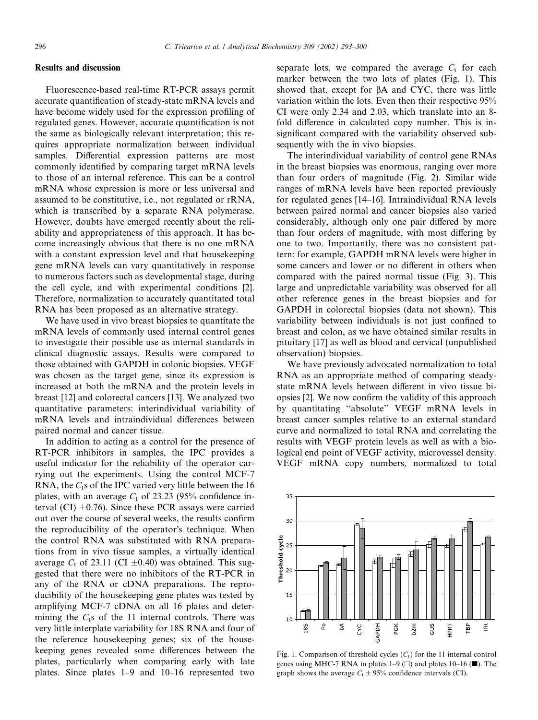# Results and discussion

Fluorescence-based real-time RT-PCR assays permit accurate quantification of steady-state mRNA levels and have become widely used for the expression profiling of regulated genes. However, accurate quantification is not the same as biologically relevant interpretation; this requires appropriate normalization between individual samples. Differential expression patterns are most commonly identified by comparing target mRNA levels to those of an internal reference. This can be a control mRNA whose expression is more or less universal and assumed to be constitutive, i.e., not regulated or rRNA, which is transcribed by a separate RNA polymerase. However, doubts have emerged recently about the reliability and appropriateness of this approach. It has become increasingly obvious that there is no one mRNA with a constant expression level and that housekeeping gene mRNA levels can vary quantitatively in response to numerous factors such as developmental stage, during the cell cycle, and with experimental conditions [2]. Therefore, normalization to accurately quantitated total RNA has been proposed as an alternative strategy.

We have used in vivo breast biopsies to quantitate the mRNA levels of commonly used internal control genes to investigate their possible use as internal standards in clinical diagnostic assays. Results were compared to those obtained with GAPDH in colonic biopsies. VEGF was chosen as the target gene, since its expression is increased at both the mRNA and the protein levels in breast [12] and colorectal cancers [13]. We analyzed two quantitative parameters: interindividual variability of mRNA levels and intraindividual differences between paired normal and cancer tissue.

In addition to acting as a control for the presence of RT-PCR inhibitors in samples, the IPC provides a useful indicator for the reliability of the operator carrying out the experiments. Using the control MCF-7 RNA, the  $C_t$ s of the IPC varied very little between the 16 plates, with an average  $C_t$  of 23.23 (95% confidence interval (CI)  $\pm$ 0.76). Since these PCR assays were carried out over the course of several weeks, the results confirm the reproducibility of the operator's technique. When the control RNA was substituted with RNA preparations from in vivo tissue samples, a virtually identical average  $C_t$  of 23.11 (CI  $\pm 0.40$ ) was obtained. This suggested that there were no inhibitors of the RT-PCR in any of the RNA or cDNA preparations. The reproducibility of the housekeeping gene plates was tested by amplifying MCF-7 cDNA on all 16 plates and determining the  $C_t$ s of the 11 internal controls. There was very little interplate variability for 18SRNA and four of the reference housekeeping genes; six of the housekeeping genes revealed some differences between the plates, particularly when comparing early with late plates. Since plates 1–9 and 10–16 represented two

separate lots, we compared the average  $C_t$  for each marker between the two lots of plates (Fig. 1). This showed that, except for  $\beta A$  and CYC, there was little variation within the lots. Even then their respective 95% CI were only 2.34 and 2.03, which translate into an 8 fold difference in calculated copy number. This is insignificant compared with the variability observed subsequently with the in vivo biopsies.

The interindividual variability of control gene RNAs in the breast biopsies was enormous, ranging over more than four orders of magnitude (Fig. 2). Similar wide ranges of mRNA levels have been reported previously for regulated genes [14–16]. Intraindividual RNA levels between paired normal and cancer biopsies also varied considerably, although only one pair differed by more than four orders of magnitude, with most differing by one to two. Importantly, there was no consistent pattern: for example, GAPDH mRNA levels were higher in some cancers and lower or no different in others when compared with the paired normal tissue (Fig. 3). This large and unpredictable variability was observed for all other reference genes in the breast biopsies and for GAPDH in colorectal biopsies (data not shown). This variability between individuals is not just confined to breast and colon, as we have obtained similar results in pituitary [17] as well as blood and cervical (unpublished observation) biopsies.

We have previously advocated normalization to total RNA as an appropriate method of comparing steadystate mRNA levels between different in vivo tissue biopsies [2]. We now confirm the validity of this approach by quantitating ''absolute'' VEGF mRNA levels in breast cancer samples relative to an external standard curve and normalized to total RNA and correlating the results with VEGF protein levels as well as with a biological end point of VEGF activity, microvessel density. VEGF mRNA copy numbers, normalized to total



Fig. 1. Comparison of threshold cycles  $(C_t)$  for the 11 internal control genes using MHC-7 RNA in plates  $1-9$  ( $\square$ ) and plates  $10-16$  ( $\square$ ). The graph shows the average  $C_t \pm 95\%$  confidence intervals (CI).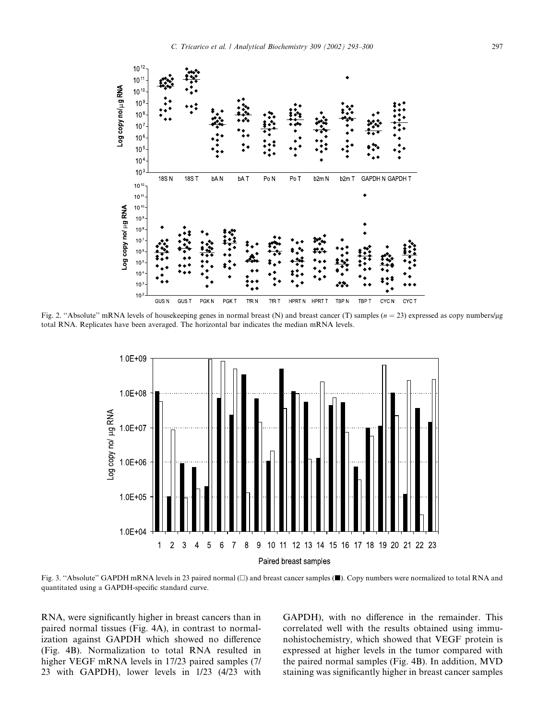

Fig. 2. "Absolute" mRNA levels of housekeeping genes in normal breast (N) and breast cancer (T) samples ( $n = 23$ ) expressed as copy numbers/ $\mu$ g total RNA. Replicates have been averaged. The horizontal bar indicates the median mRNA levels.



Fig. 3. "Absolute" GAPDH mRNA levels in 23 paired normal ( $\square$ ) and breast cancer samples ( $\square$ ). Copy numbers were normalized to total RNA and quantitated using a GAPDH-specific standard curve.

RNA, were significantly higher in breast cancers than in paired normal tissues (Fig. 4A), in contrast to normalization against GAPDH which showed no difference (Fig. 4B). Normalization to total RNA resulted in higher VEGF mRNA levels in 17/23 paired samples (7/ 23 with GAPDH), lower levels in 1/23 (4/23 with GAPDH), with no difference in the remainder. This correlated well with the results obtained using immunohistochemistry, which showed that VEGF protein is expressed at higher levels in the tumor compared with the paired normal samples (Fig. 4B). In addition, MVD staining was significantly higher in breast cancer samples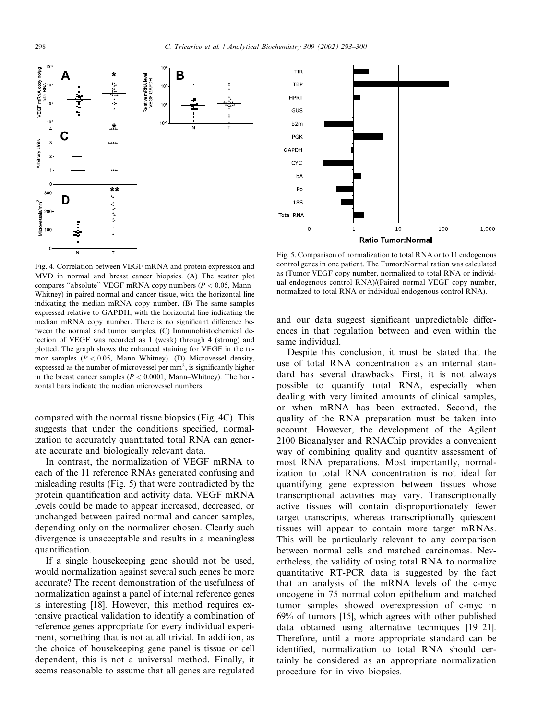

Fig. 4. Correlation between VEGF mRNA and protein expression and MVD in normal and breast cancer biopsies. (A) The scatter plot compares "absolute" VEGF mRNA copy numbers ( $P < 0.05$ , Mann– Whitney) in paired normal and cancer tissue, with the horizontal line indicating the median mRNA copy number. (B) The same samples expressed relative to GAPDH, with the horizontal line indicating the median mRNA copy number. There is no significant difference between the normal and tumor samples. (C) Immunohistochemical detection of VEGF was recorded as 1 (weak) through 4 (strong) and plotted. The graph shows the enhanced staining for VEGF in the tumor samples ( $P < 0.05$ , Mann–Whitney). (D) Microvessel density, expressed as the number of microvessel per  $mm<sup>2</sup>$ , is significantly higher in the breast cancer samples ( $P < 0.0001$ , Mann–Whitney). The horizontal bars indicate the median microvessel numbers.

compared with the normal tissue biopsies (Fig. 4C). This suggests that under the conditions specified, normalization to accurately quantitated total RNA can generate accurate and biologically relevant data.

In contrast, the normalization of VEGF mRNA to each of the 11 reference RNAs generated confusing and misleading results (Fig. 5) that were contradicted by the protein quantification and activity data. VEGF mRNA levels could be made to appear increased, decreased, or unchanged between paired normal and cancer samples, depending only on the normalizer chosen. Clearly such divergence is unacceptable and results in a meaningless quantification.

If a single housekeeping gene should not be used, would normalization against several such genes be more accurate? The recent demonstration of the usefulness of normalization against a panel of internal reference genes is interesting [18]. However, this method requires extensive practical validation to identify a combination of reference genes appropriate for every individual experiment, something that is not at all trivial. In addition, as the choice of housekeeping gene panel is tissue or cell dependent, this is not a universal method. Finally, it seems reasonable to assume that all genes are regulated



Fig. 5. Comparison of normalization to total RNA or to 11 endogenous control genes in one patient. The Tumor:Normal ration was calculated as (Tumor VEGF copy number, normalized to total RNA or individual endogenous control RNA)/(Paired normal VEGF copy number, normalized to total RNA or individual endogenous control RNA).

and our data suggest significant unpredictable differences in that regulation between and even within the same individual.

Despite this conclusion, it must be stated that the use of total RNA concentration as an internal standard has several drawbacks. First, it is not always possible to quantify total RNA, especially when dealing with very limited amounts of clinical samples, or when mRNA has been extracted. Second, the quality of the RNA preparation must be taken into account. However, the development of the Agilent 2100 Bioanalyser and RNAChip provides a convenient way of combining quality and quantity assessment of most RNA preparations. Most importantly, normalization to total RNA concentration is not ideal for quantifying gene expression between tissues whose transcriptional activities may vary. Transcriptionally active tissues will contain disproportionately fewer target transcripts, whereas transcriptionally quiescent tissues will appear to contain more target mRNAs. This will be particularly relevant to any comparison between normal cells and matched carcinomas. Nevertheless, the validity of using total RNA to normalize quantitative RT-PCR data is suggested by the fact that an analysis of the mRNA levels of the c-myc oncogene in 75 normal colon epithelium and matched tumor samples showed overexpression of c-myc in 69% of tumors [15], which agrees with other published data obtained using alternative techniques [19–21]. Therefore, until a more appropriate standard can be identified, normalization to total RNA should certainly be considered as an appropriate normalization procedure for in vivo biopsies.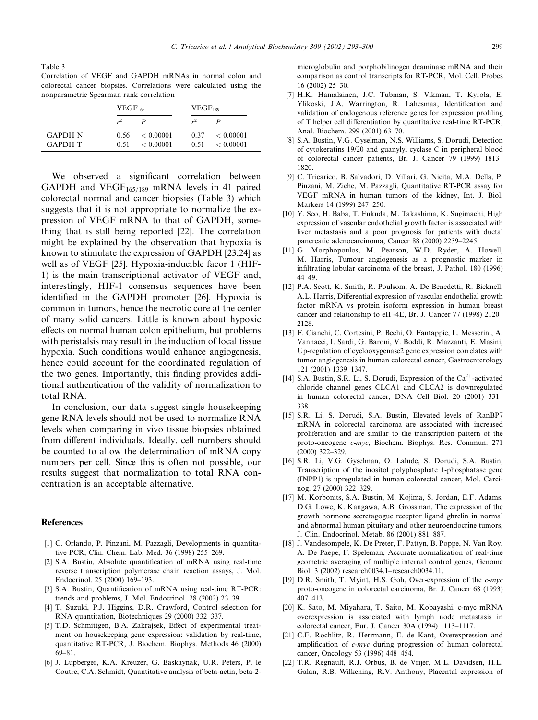Table 3

Correlation of VEGF and GAPDH mRNAs in normal colon and colorectal cancer biopsies. Correlations were calculated using the nonparametric Spearman rank correlation

|                                  | VEGF <sub>165</sub> |                        | VEGF <sub>189</sub> |                        |
|----------------------------------|---------------------|------------------------|---------------------|------------------------|
|                                  | $r^2$               |                        | $\mathbf{r}^2$      |                        |
| <b>GAPDH N</b><br><b>GAPDH T</b> | 0.56<br>0.51        | < 0.00001<br>< 0.00001 | 0.37<br>0.51        | < 0.00001<br>< 0.00001 |

We observed a significant correlation between GAPDH and  $VEGF<sub>165/189</sub>$  mRNA levels in 41 paired colorectal normal and cancer biopsies (Table 3) which suggests that it is not appropriate to normalize the expression of VEGF mRNA to that of GAPDH, something that is still being reported [22]. The correlation might be explained by the observation that hypoxia is known to stimulate the expression of GAPDH [23,24] as well as of VEGF [25]. Hypoxia-inducible facor 1 (HIF-1) is the main transcriptional activator of VEGF and, interestingly, HIF-1 consensus sequences have been identified in the GAPDH promoter [26]. Hypoxia is common in tumors, hence the necrotic core at the center of many solid cancers. Little is known about hypoxic effects on normal human colon epithelium, but problems with peristalsis may result in the induction of local tissue hypoxia. Such conditions would enhance angiogenesis, hence could account for the coordinated regulation of the two genes. Importantly, this finding provides additional authentication of the validity of normalization to total RNA.

In conclusion, our data suggest single housekeeping gene RNA levels should not be used to normalize RNA levels when comparing in vivo tissue biopsies obtained from different individuals. Ideally, cell numbers should be counted to allow the determination of mRNA copy numbers per cell. Since this is often not possible, our results suggest that normalization to total RNA concentration is an acceptable alternative.

#### References

- [1] C. Orlando, P. Pinzani, M. Pazzagli, Developments in quantitative PCR, Clin. Chem. Lab. Med. 36 (1998) 255–269.
- [2] S.A. Bustin, Absolute quantification of mRNA using real-time reverse transcription polymerase chain reaction assays, J. Mol. Endocrinol. 25 (2000) 169–193.
- [3] S.A. Bustin, Quantification of mRNA using real-time RT-PCR: trends and problems, J. Mol. Endocrinol. 28 (2002) 23–39.
- [4] T. Suzuki, P.J. Higgins, D.R. Crawford, Control selection for RNA quantitation, Biotechniques 29 (2000) 332–337.
- [5] T.D. Schmittgen, B.A. Zakrajsek, Effect of experimental treatment on housekeeping gene expression: validation by real-time, quantitative RT-PCR, J. Biochem. Biophys. Methods 46 (2000) 69–81.
- [6] J. Lupberger, K.A. Kreuzer, G. Baskaynak, U.R. Peters, P. le Coutre, C.A. Schmidt, Quantitative analysis of beta-actin, beta-2-
- [7] H.K. Hamalainen, J.C. Tubman, S. Vikman, T. Kyrola, E. Ylikoski, J.A. Warrington, R. Lahesmaa, Identification and validation of endogenous reference genes for expression profiling of T helper cell differentiation by quantitative real-time RT-PCR, Anal. Biochem. 299 (2001) 63–70.
- [8] S.A. Bustin, V.G. Gyselman, N.S. Williams, S. Dorudi, Detection of cytokeratins 19/20 and guanylyl cyclase C in peripheral blood of colorectal cancer patients, Br. J. Cancer 79 (1999) 1813– 1820.
- [9] C. Tricarico, B. Salvadori, D. Villari, G. Nicita, M.A. Della, P. Pinzani, M. Ziche, M. Pazzagli, Quantitative RT-PCR assay for VEGF mRNA in human tumors of the kidney, Int. J. Biol. Markers 14 (1999) 247–250.
- [10] Y. Seo, H. Baba, T. Fukuda, M. Takashima, K. Sugimachi, High expression of vascular endothelial growth factor is associated with liver metastasis and a poor prognosis for patients with ductal pancreatic adenocarcinoma, Cancer 88 (2000) 2239–2245.
- [11] G. Morphopoulos, M. Pearson, W.D. Ryder, A. Howell, M. Harris, Tumour angiogenesis as a prognostic marker in infiltrating lobular carcinoma of the breast, J. Pathol. 180 (1996) 44–49.
- [12] P.A. Scott, K. Smith, R. Poulsom, A. De Benedetti, R. Bicknell, A.L. Harris, Differential expression of vascular endothelial growth factor mRNA vs protein isoform expression in human breast cancer and relationship to eIF-4E, Br. J. Cancer 77 (1998) 2120– 2128.
- [13] F. Cianchi, C. Cortesini, P. Bechi, O. Fantappie, L. Messerini, A. Vannacci, I. Sardi, G. Baroni, V. Boddi, R. Mazzanti, E. Masini, Up-regulation of cyclooxygenase2 gene expression correlates with tumor angiogenesis in human colorectal cancer, Gastroenterology 121 (2001) 1339–1347.
- [14] S.A. Bustin, S.R. Li, S. Dorudi, Expression of the  $Ca^{2+}$ -activated chloride channel genes CLCA1 and CLCA2 is downregulated in human colorectal cancer, DNA Cell Biol. 20 (2001) 331– 338.
- [15] S.R. Li, S. Dorudi, S.A. Bustin, Elevated levels of RanBP7 mRNA in colorectal carcinoma are associated with increased proliferation and are similar to the transcription pattern of the proto-oncogene c-myc, Biochem. Biophys. Res. Commun. 271 (2000) 322–329.
- [16] S.R. Li, V.G. Gyselman, O. Lalude, S. Dorudi, S.A. Bustin, Transcription of the inositol polyphosphate 1-phosphatase gene (INPP1) is upregulated in human colorectal cancer, Mol. Carcinog. 27 (2000) 322–329.
- [17] M. Korbonits, S.A. Bustin, M. Kojima, S. Jordan, E.F. Adams, D.G. Lowe, K. Kangawa, A.B. Grossman, The expression of the growth hormone secretagogue receptor ligand ghrelin in normal and abnormal human pituitary and other neuroendocrine tumors, J. Clin. Endocrinol. Metab. 86 (2001) 881–887.
- [18] J. Vandesompele, K. De Preter, F. Pattyn, B. Poppe, N. Van Roy, A. De Paepe, F. Speleman, Accurate normalization of real-time geometric averaging of multiple internal control genes, Genome Biol. 3 (2002) research0034.1–research0034.11.
- [19] D.R. Smith, T. Myint, H.S. Goh, Over-expression of the c-myc proto-oncogene in colorectal carcinoma, Br. J. Cancer 68 (1993) 407–413.
- [20] K. Sato, M. Miyahara, T. Saito, M. Kobayashi, c-myc mRNA overexpression is associated with lymph node metastasis in colorectal cancer, Eur. J. Cancer 30A (1994) 1113–1117.
- [21] C.F. Rochlitz, R. Herrmann, E. de Kant, Overexpression and amplification of c-myc during progression of human colorectal cancer, Oncology 53 (1996) 448–454.
- [22] T.R. Regnault, R.J. Orbus, B. de Vrijer, M.L. Davidsen, H.L. Galan, R.B. Wilkening, R.V. Anthony, Placental expression of